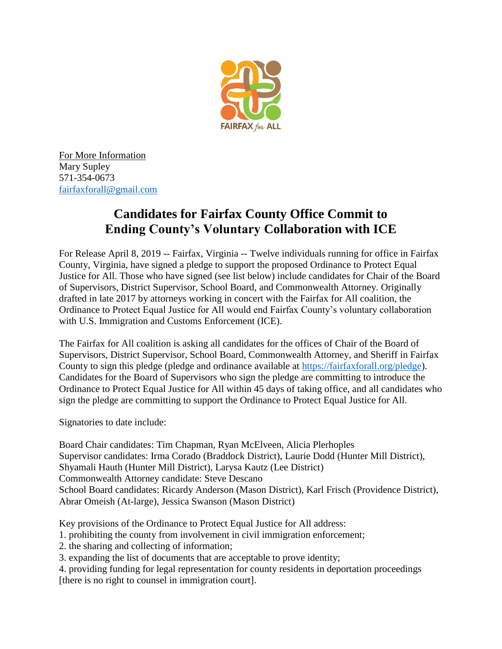

For More Information Mary Supley 571-354-0673 [fairfaxforall@gmail.com](mailto:fairfaxforall@gmail.com)

## **Candidates for Fairfax County Office Commit to Ending County's Voluntary Collaboration with ICE**

For Release April 8, 2019 -- Fairfax, Virginia -- Twelve individuals running for office in Fairfax County, Virginia, have signed a pledge to support the proposed Ordinance to Protect Equal Justice for All. Those who have signed (see list below) include candidates for Chair of the Board of Supervisors, District Supervisor, School Board, and Commonwealth Attorney. Originally drafted in late 2017 by attorneys working in concert with the Fairfax for All coalition, the Ordinance to Protect Equal Justice for All would end Fairfax County's voluntary collaboration with U.S. Immigration and Customs Enforcement (ICE).

The Fairfax for All coalition is asking all candidates for the offices of Chair of the Board of Supervisors, District Supervisor, School Board, Commonwealth Attorney, and Sheriff in Fairfax County to sign this pledge (pledge and ordinance available at [https://fairfaxforall.org/pledge\)](https://fairfaxforall.org/pledge). Candidates for the Board of Supervisors who sign the pledge are committing to introduce the Ordinance to Protect Equal Justice for All within 45 days of taking office, and all candidates who sign the pledge are committing to support the Ordinance to Protect Equal Justice for All.

Signatories to date include:

Board Chair candidates: Tim Chapman, Ryan McElveen, Alicia Plerhoples Supervisor candidates: Irma Corado (Braddock District), Laurie Dodd (Hunter Mill District), Shyamali Hauth (Hunter Mill District), Larysa Kautz (Lee District) Commonwealth Attorney candidate: Steve Descano School Board candidates: Ricardy Anderson (Mason District), Karl Frisch (Providence District), Abrar Omeish (At-large), Jessica Swanson (Mason District)

Key provisions of the Ordinance to Protect Equal Justice for All address:

1. prohibiting the county from involvement in civil immigration enforcement;

2. the sharing and collecting of information;

3. expanding the list of documents that are acceptable to prove identity;

4. providing funding for legal representation for county residents in deportation proceedings [there is no right to counsel in immigration court].